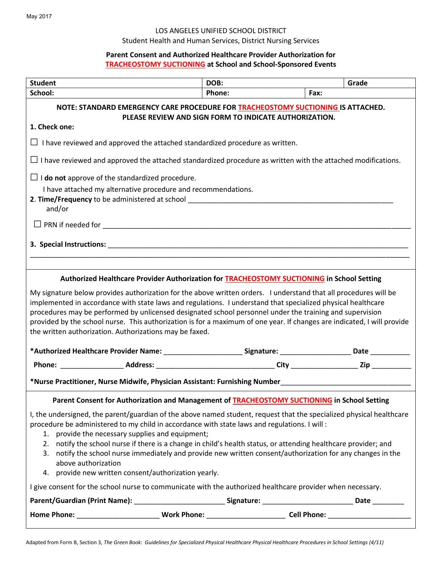## LOS ANGELES UNIFIED SCHOOL DISTRICT

#### Student Health and Human Services, District Nursing Services

# **Parent Consent and Authorized Healthcare Provider Authorization for TRACHEOSTOMY SUCTIONING at School and School-Sponsored Events**

| <b>Student</b>                                                                                                                                                                                                                                                                                                                                                                                                                                                                                                                                                                                                                                            | DOB:   | Grade |  |  |
|-----------------------------------------------------------------------------------------------------------------------------------------------------------------------------------------------------------------------------------------------------------------------------------------------------------------------------------------------------------------------------------------------------------------------------------------------------------------------------------------------------------------------------------------------------------------------------------------------------------------------------------------------------------|--------|-------|--|--|
| School:                                                                                                                                                                                                                                                                                                                                                                                                                                                                                                                                                                                                                                                   | Phone: | Fax:  |  |  |
| NOTE: STANDARD EMERGENCY CARE PROCEDURE FOR TRACHEOSTOMY SUCTIONING IS ATTACHED.<br>PLEASE REVIEW AND SIGN FORM TO INDICATE AUTHORIZATION.                                                                                                                                                                                                                                                                                                                                                                                                                                                                                                                |        |       |  |  |
| 1. Check one:                                                                                                                                                                                                                                                                                                                                                                                                                                                                                                                                                                                                                                             |        |       |  |  |
| $\Box$ I have reviewed and approved the attached standardized procedure as written.                                                                                                                                                                                                                                                                                                                                                                                                                                                                                                                                                                       |        |       |  |  |
| $\Box$ I have reviewed and approved the attached standardized procedure as written with the attached modifications.                                                                                                                                                                                                                                                                                                                                                                                                                                                                                                                                       |        |       |  |  |
| $\Box$ <b>I do not</b> approve of the standardized procedure.<br>I have attached my alternative procedure and recommendations.<br>and/or                                                                                                                                                                                                                                                                                                                                                                                                                                                                                                                  |        |       |  |  |
|                                                                                                                                                                                                                                                                                                                                                                                                                                                                                                                                                                                                                                                           |        |       |  |  |
|                                                                                                                                                                                                                                                                                                                                                                                                                                                                                                                                                                                                                                                           |        |       |  |  |
| Authorized Healthcare Provider Authorization for <b>TRACHEOSTOMY SUCTIONING</b> in School Setting                                                                                                                                                                                                                                                                                                                                                                                                                                                                                                                                                         |        |       |  |  |
| My signature below provides authorization for the above written orders. I understand that all procedures will be<br>implemented in accordance with state laws and regulations. I understand that specialized physical healthcare<br>procedures may be performed by unlicensed designated school personnel under the training and supervision<br>provided by the school nurse. This authorization is for a maximum of one year. If changes are indicated, I will provide<br>the written authorization. Authorizations may be faxed.<br>*Authorized Healthcare Provider Name: _________________________Signature: _______________________Date _____________ |        |       |  |  |
|                                                                                                                                                                                                                                                                                                                                                                                                                                                                                                                                                                                                                                                           |        |       |  |  |
|                                                                                                                                                                                                                                                                                                                                                                                                                                                                                                                                                                                                                                                           |        |       |  |  |
| *Nurse Practitioner, Nurse Midwife, Physician Assistant: Furnishing Number__________________________                                                                                                                                                                                                                                                                                                                                                                                                                                                                                                                                                      |        |       |  |  |
| Parent Consent for Authorization and Management of TRACHEOSTOMY SUCTIONING in School Setting                                                                                                                                                                                                                                                                                                                                                                                                                                                                                                                                                              |        |       |  |  |
| I, the undersigned, the parent/guardian of the above named student, request that the specialized physical healthcare<br>procedure be administered to my child in accordance with state laws and regulations. I will :<br>1. provide the necessary supplies and equipment;<br>2. notify the school nurse if there is a change in child's health status, or attending healthcare provider; and<br>3. notify the school nurse immediately and provide new written consent/authorization for any changes in the<br>above authorization<br>4. provide new written consent/authorization yearly.                                                                |        |       |  |  |
| I give consent for the school nurse to communicate with the authorized healthcare provider when necessary.                                                                                                                                                                                                                                                                                                                                                                                                                                                                                                                                                |        |       |  |  |
| Parent/Guardian (Print Name): _____________________________Signature: ______________________________Date ___________                                                                                                                                                                                                                                                                                                                                                                                                                                                                                                                                      |        |       |  |  |
|                                                                                                                                                                                                                                                                                                                                                                                                                                                                                                                                                                                                                                                           |        |       |  |  |